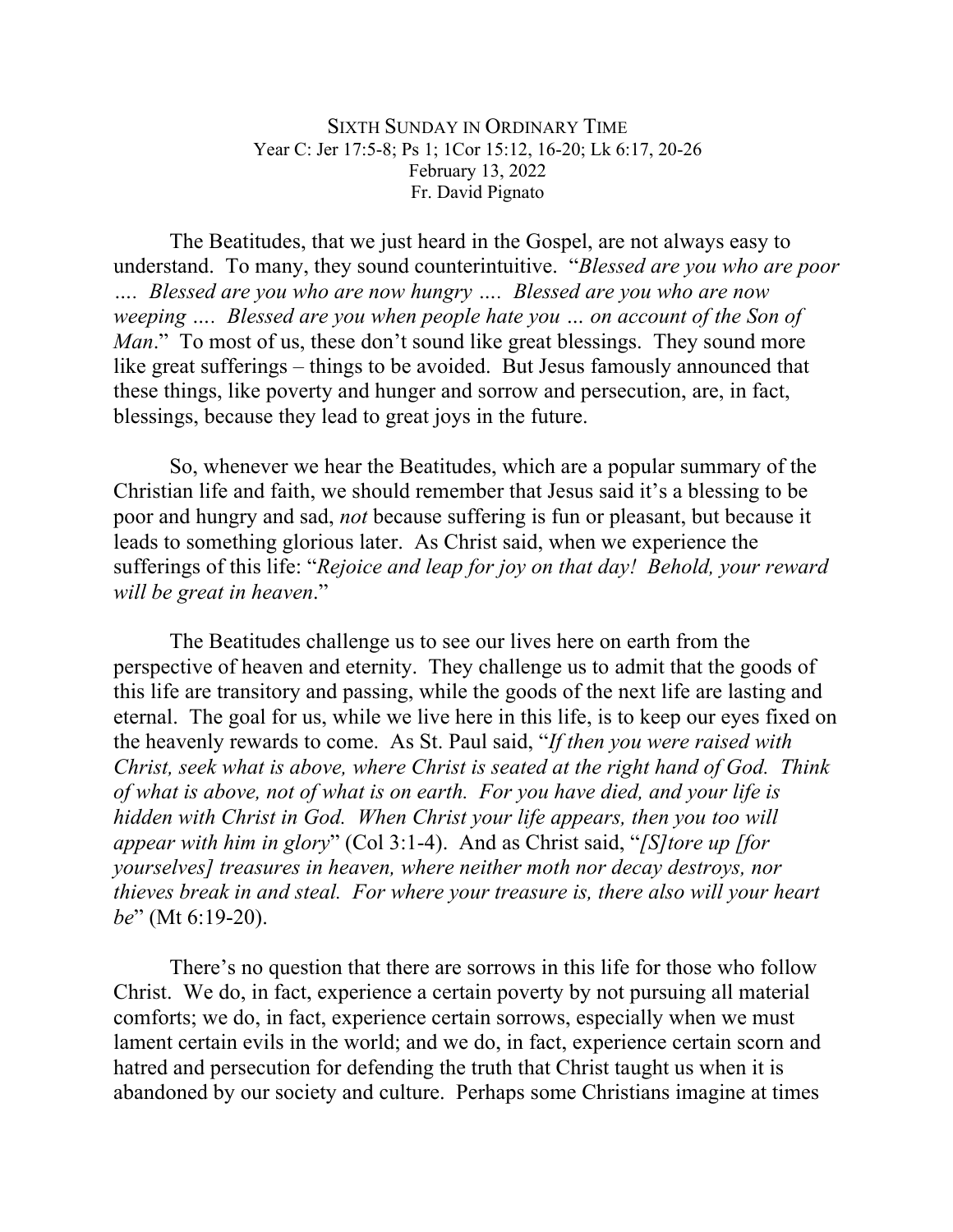## SIXTH SUNDAY IN ORDINARY TIME Year C: Jer 17:5-8; Ps 1; 1Cor 15:12, 16-20; Lk 6:17, 20-26 February 13, 2022 Fr. David Pignato

The Beatitudes, that we just heard in the Gospel, are not always easy to understand. To many, they sound counterintuitive. "*Blessed are you who are poor …. Blessed are you who are now hungry …. Blessed are you who are now weeping …. Blessed are you when people hate you … on account of the Son of Man*." To most of us, these don't sound like great blessings. They sound more like great sufferings – things to be avoided. But Jesus famously announced that these things, like poverty and hunger and sorrow and persecution, are, in fact, blessings, because they lead to great joys in the future.

So, whenever we hear the Beatitudes, which are a popular summary of the Christian life and faith, we should remember that Jesus said it's a blessing to be poor and hungry and sad, *not* because suffering is fun or pleasant, but because it leads to something glorious later. As Christ said, when we experience the sufferings of this life: "*Rejoice and leap for joy on that day! Behold, your reward will be great in heaven*."

The Beatitudes challenge us to see our lives here on earth from the perspective of heaven and eternity. They challenge us to admit that the goods of this life are transitory and passing, while the goods of the next life are lasting and eternal. The goal for us, while we live here in this life, is to keep our eyes fixed on the heavenly rewards to come. As St. Paul said, "*If then you were raised with Christ, seek what is above, where Christ is seated at the right hand of God. Think of what is above, not of what is on earth. For you have died, and your life is hidden with Christ in God. When Christ your life appears, then you too will appear with him in glory*" (Col 3:1-4). And as Christ said, "*[S]tore up [for yourselves] treasures in heaven, where neither moth nor decay destroys, nor thieves break in and steal. For where your treasure is, there also will your heart be*" (Mt 6:19-20).

There's no question that there are sorrows in this life for those who follow Christ. We do, in fact, experience a certain poverty by not pursuing all material comforts; we do, in fact, experience certain sorrows, especially when we must lament certain evils in the world; and we do, in fact, experience certain scorn and hatred and persecution for defending the truth that Christ taught us when it is abandoned by our society and culture. Perhaps some Christians imagine at times